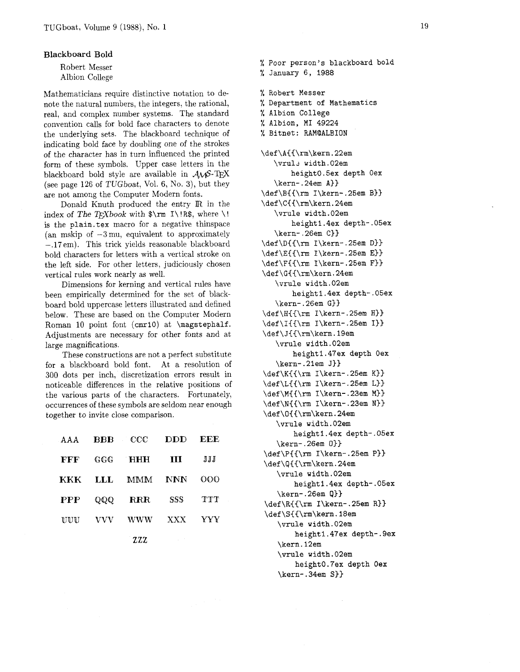## **Blackboard Bold**

Robert Messer Albion College

Mathematicians require distinctive notation to denote the natural numbers, the integers, the rational, real, and complex number systems. The standard convention calls for bold face characters to denote the underlying sets. The blackboard technique of indicating bold face by doubling one of the strokes of the character has in turn influenced the printed form of these symbols. Upper case letters in the blackboard bold style are available in  $A\mathcal{M}S$ -TFX (see page 126 of TUGboat, Vol. 6, No. **3),** but they are not among the Computer Modern fonts.

Donald Knuth produced the entry IR in the index of The  $T_F X book$  with  $\rm T\$ I\!R\$, where \! is the plain.tex macro for a negative thinspace (an mskip of **-3** mu, equivalent to approximately -.17em). This trick yields reasonable blackboard bold characters for letters with a vertical stroke on the left side. For other letters, judiciously chosen vertical rules work nearly as well.

Dimensions for kerning and vertical rules have been empirically determined for the set of blackboard bold uppercase letters illustrated and defined below. These are based on the Computer Modern Roman **10** point font (cmrlO) at \magstephalf. Adjustments are necessary for other fonts and at large magnifications.

These constructions are not a perfect substitute for a blackboard bold font. At a resolution of **300** dots per inch, discretization errors result in noticeable differences in the relative positions of the various parts of the characters. Fortunately, occurrences of these symbols are seldom near enough together to invite close comparison.

| AAA        | <b>BBB</b> | – CCC      | DDD        | EEE |
|------------|------------|------------|------------|-----|
| FFF        | GGG        | <b>HHH</b> | Ш          | JJJ |
| ккк        | LLL        | MMM        | <b>NNN</b> | ററെ |
| <b>PPP</b> | QQQ        | <b>RRR</b> | SSS        | TTT |
| UUU        | vvv        | www        | <b>XXX</b> | YYY |
|            |            |            |            |     |

**ZZZ** 

% Poor person's blackboard bold % January 6, 1988 % Robert Messer % Department of Mathematics % Albion College % Albion, MI 49224 % Bitnet: RAMQALBION \def\A{{\rm\kern.22em \vrul~ width.02em height0.5ex depth Oex \kern-.24em A))  $\def\{\rm I\ker}-25em B\}$ \def\C{{\rm\kern.24em \vrule width.02em heightl.4ex depth-.05ex \kern-.26em **C))**  \def\D{{\rm I\kern-.25em D}} \def \E{{\rm I\kern- .25em **E))**  \def\F{{\rm I\kern-.25em F}} \def\G{{\rm\kern.24em \vrule width.02em heightl.4ex depth-.05ex \kern-.26em GI) \def \H{{\rm I\kern-. 25em **HI)**   $\def\{1:m I\kern-.25em I}\$ \def\J{{\rm\kern.19em \vrule width.02em heightl.47ex depth Oex \kern-.2lem J) \def\K({\rm I\kern-.25em **K))**   $\def\If{\rm I\ker }-25em L}$ \def\M{{\rm I\kern-.23em M}} \def\N{{\rm I\kern-.23em N) \def\O{{\rm\kern.24em \vrule width.02em heighti.4ex depth-.05ex \kern-.26em **0))**   $\def\$ {\rm I\kern-.25em P} \def\Q{{\rm\kern.24em \vrule width.02em heightl.4ex depth-.05ex \kern-.26em **Q))**  \def\R{{\rm I\kern-.25em R)> \def\S{{\rm\kern.18em \vrule width.02em heightl.47ex depth-.9ex \kern.l2em

\vrule width.02em height0.7ex depth Oex \kern-.34em **S))**